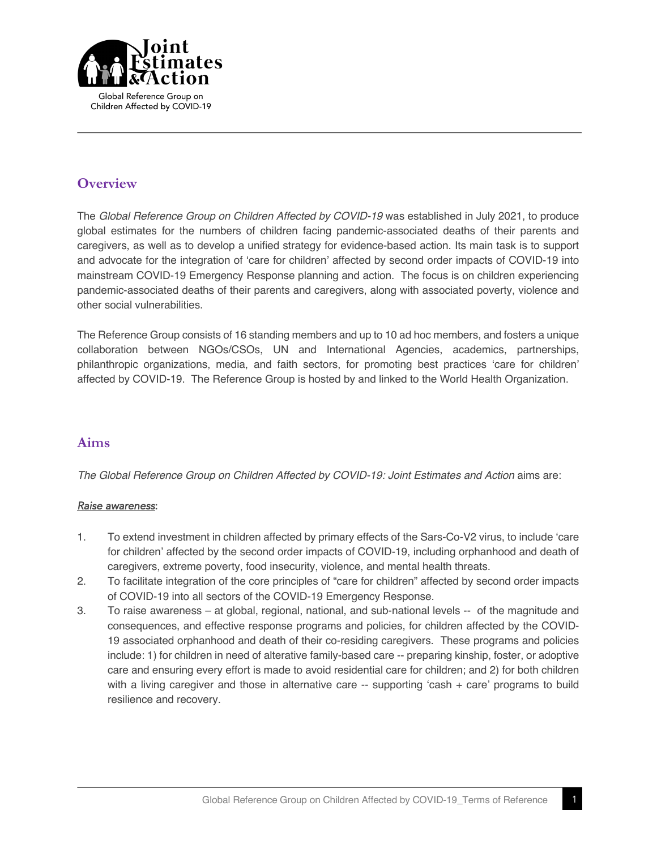

## **Overview**

The *Global Reference Group on Children Affected by COVID-19* was established in July 2021, to produce global estimates for the numbers of children facing pandemic-associated deaths of their parents and caregivers, as well as to develop a unified strategy for evidence-based action. Its main task is to support and advocate for the integration of 'care for children' affected by second order impacts of COVID-19 into mainstream COVID-19 Emergency Response planning and action. The focus is on children experiencing pandemic-associated deaths of their parents and caregivers, along with associated poverty, violence and other social vulnerabilities.

The Reference Group consists of 16 standing members and up to 10 ad hoc members, and fosters a unique collaboration between NGOs/CSOs, UN and International Agencies, academics, partnerships, philanthropic organizations, media, and faith sectors, for promoting best practices 'care for children' affected by COVID-19. The Reference Group is hosted by and linked to the World Health Organization.

## **Aims**

*The Global Reference Group on Children Affected by COVID-19: Joint Estimates and Action* aims are:

#### *Raise awareness*:

- 1. To extend investment in children affected by primary effects of the Sars-Co-V2 virus, to include 'care for children' affected by the second order impacts of COVID-19, including orphanhood and death of caregivers, extreme poverty, food insecurity, violence, and mental health threats.
- 2. To facilitate integration of the core principles of "care for children" affected by second order impacts of COVID-19 into all sectors of the COVID-19 Emergency Response.
- 3. To raise awareness at global, regional, national, and sub-national levels -- of the magnitude and consequences, and effective response programs and policies, for children affected by the COVID-19 associated orphanhood and death of their co-residing caregivers. These programs and policies include: 1) for children in need of alterative family-based care -- preparing kinship, foster, or adoptive care and ensuring every effort is made to avoid residential care for children; and 2) for both children with a living caregiver and those in alternative care -- supporting 'cash + care' programs to build resilience and recovery.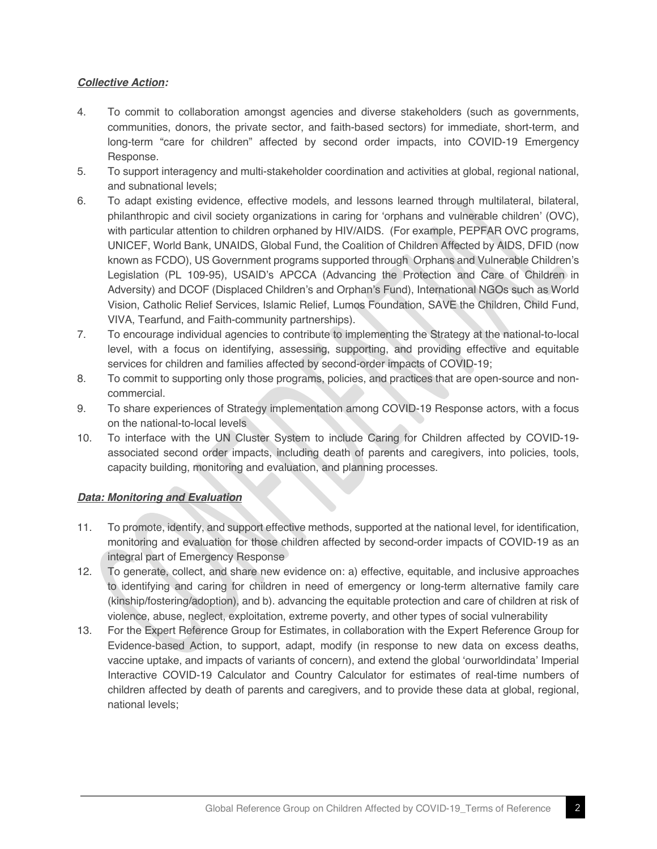### *Collective Action:*

- 4. To commit to collaboration amongst agencies and diverse stakeholders (such as governments, communities, donors, the private sector, and faith-based sectors) for immediate, short-term, and long-term "care for children" affected by second order impacts, into COVID-19 Emergency Response.
- 5. To support interagency and multi-stakeholder coordination and activities at global, regional national, and subnational levels;
- 6. To adapt existing evidence, effective models, and lessons learned through multilateral, bilateral, philanthropic and civil society organizations in caring for 'orphans and vulnerable children' (OVC), with particular attention to children orphaned by HIV/AIDS. (For example, PEPFAR OVC programs, UNICEF, World Bank, UNAIDS, Global Fund, the Coalition of Children Affected by AIDS, DFID (now known as FCDO), US Government programs supported through Orphans and Vulnerable Children's Legislation (PL 109-95), USAID's APCCA (Advancing the Protection and Care of Children in Adversity) and DCOF (Displaced Children's and Orphan's Fund), International NGOs such as World Vision, Catholic Relief Services, Islamic Relief, Lumos Foundation, SAVE the Children, Child Fund, VIVA, Tearfund, and Faith-community partnerships).
- 7. To encourage individual agencies to contribute to implementing the Strategy at the national-to-local level, with a focus on identifying, assessing, supporting, and providing effective and equitable services for children and families affected by second-order impacts of COVID-19;
- 8. To commit to supporting only those programs, policies, and practices that are open-source and noncommercial.
- 9. To share experiences of Strategy implementation among COVID-19 Response actors, with a focus on the national-to-local levels
- 10. To interface with the UN Cluster System to include Caring for Children affected by COVID-19 associated second order impacts, including death of parents and caregivers, into policies, tools, capacity building, monitoring and evaluation, and planning processes.

#### *Data: Monitoring and Evaluation*

- 11. To promote, identify, and support effective methods, supported at the national level, for identification, monitoring and evaluation for those children affected by second-order impacts of COVID-19 as an integral part of Emergency Response
- 12. To generate, collect, and share new evidence on: a) effective, equitable, and inclusive approaches to identifying and caring for children in need of emergency or long-term alternative family care (kinship/fostering/adoption), and b). advancing the equitable protection and care of children at risk of violence, abuse, neglect, exploitation, extreme poverty, and other types of social vulnerability
- 13. For the Expert Reference Group for Estimates, in collaboration with the Expert Reference Group for Evidence-based Action, to support, adapt, modify (in response to new data on excess deaths, vaccine uptake, and impacts of variants of concern), and extend the global 'ourworldindata' Imperial Interactive COVID-19 Calculator and Country Calculator for estimates of real-time numbers of children affected by death of parents and caregivers, and to provide these data at global, regional, national levels;